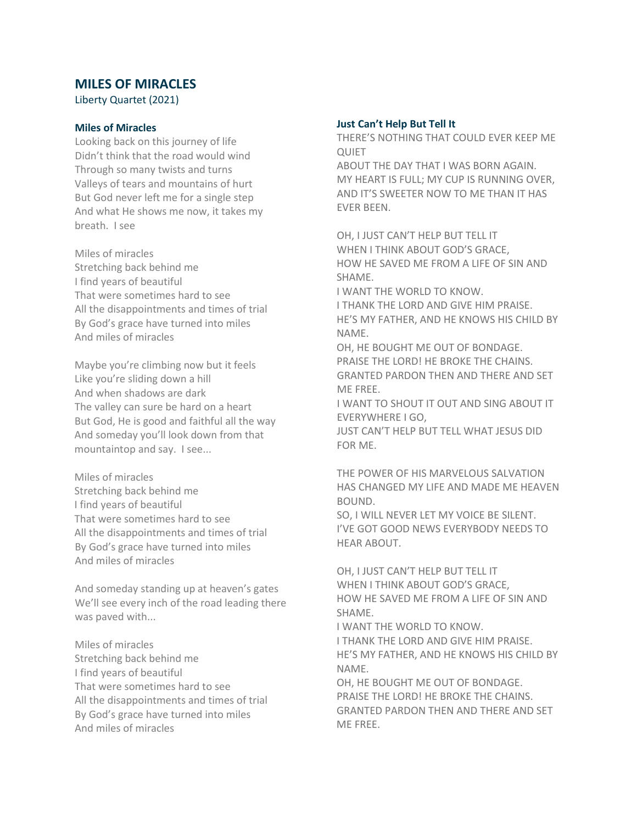# **MILES OF MIRACLES**

Liberty Quartet (2021)

# **Miles of Miracles**

Looking back on this journey of life Didn't think that the road would wind Through so many twists and turns Valleys of tears and mountains of hurt But God never left me for a single step And what He shows me now, it takes my breath. I see

Miles of miracles Stretching back behind me I find years of beautiful That were sometimes hard to see All the disappointments and times of trial By God's grace have turned into miles And miles of miracles

Maybe you're climbing now but it feels Like you're sliding down a hill And when shadows are dark The valley can sure be hard on a heart But God, He is good and faithful all the way And someday you'll look down from that mountaintop and say. I see...

Miles of miracles Stretching back behind me I find years of beautiful That were sometimes hard to see All the disappointments and times of trial By God's grace have turned into miles And miles of miracles

And someday standing up at heaven's gates We'll see every inch of the road leading there was paved with...

Miles of miracles Stretching back behind me I find years of beautiful That were sometimes hard to see All the disappointments and times of trial By God's grace have turned into miles And miles of miracles

## **Just Can't Help But Tell It**

THERE'S NOTHING THAT COULD EVER KEEP ME **OUIFT** 

ABOUT THE DAY THAT I WAS BORN AGAIN. MY HEART IS FULL; MY CUP IS RUNNING OVER, AND IT'S SWEETER NOW TO ME THAN IT HAS EVER BEEN.

OH, I JUST CAN'T HELP BUT TELL IT WHEN I THINK ABOUT GOD'S GRACE, HOW HE SAVED ME FROM A LIFE OF SIN AND SHAME.

I WANT THE WORLD TO KNOW. I THANK THE LORD AND GIVE HIM PRAISE.

HE'S MY FATHER, AND HE KNOWS HIS CHILD BY NAME.

OH, HE BOUGHT ME OUT OF BONDAGE. PRAISE THE LORD! HE BROKE THE CHAINS. GRANTED PARDON THEN AND THERE AND SET ME FREE.

I WANT TO SHOUT IT OUT AND SING ABOUT IT EVERYWHERE I GO,

JUST CAN'T HELP BUT TELL WHAT JESUS DID FOR ME.

THE POWER OF HIS MARVELOUS SALVATION HAS CHANGED MY LIFE AND MADE ME HEAVEN BOUND.

SO, I WILL NEVER LET MY VOICE BE SILENT. I'VE GOT GOOD NEWS EVERYBODY NEEDS TO HEAR ABOUT.

OH, I JUST CAN'T HELP BUT TELL IT WHEN I THINK ABOUT GOD'S GRACE, HOW HE SAVED ME FROM A LIFE OF SIN AND SHAME.

I WANT THE WORLD TO KNOW. I THANK THE LORD AND GIVE HIM PRAISE. HE'S MY FATHER, AND HE KNOWS HIS CHILD BY NAME.

OH, HE BOUGHT ME OUT OF BONDAGE. PRAISE THE LORD! HE BROKE THE CHAINS. GRANTED PARDON THEN AND THERE AND SET ME FREE.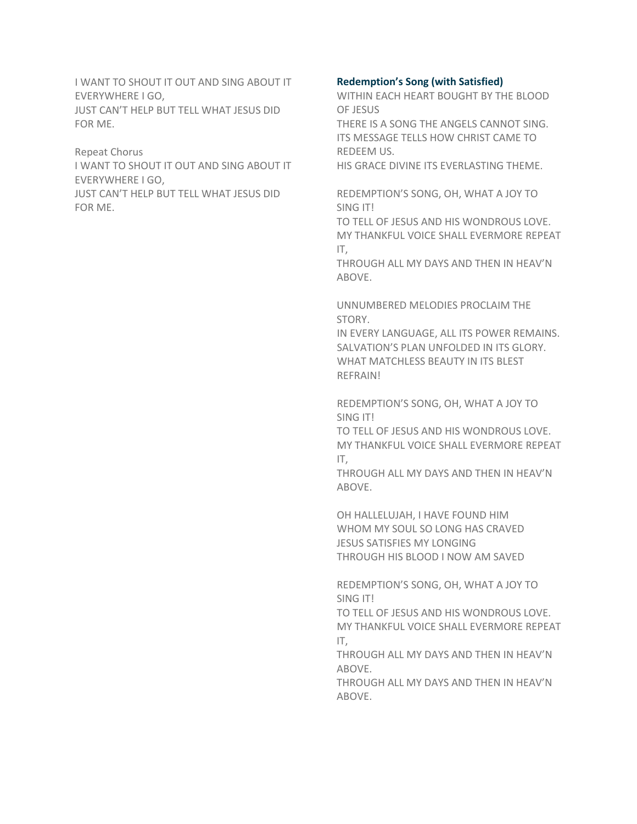I WANT TO SHOUT IT OUT AND SING ABOUT IT EVERYWHERE I GO, JUST CAN'T HELP BUT TELL WHAT JESUS DID FOR ME.

Repeat Chorus

I WANT TO SHOUT IT OUT AND SING ABOUT IT EVERYWHERE I GO,

JUST CAN'T HELP BUT TELL WHAT JESUS DID FOR ME.

# **Redemption's Song (with Satisfied)**

WITHIN EACH HEART BOUGHT BY THE BLOOD OF JESUS

THERE IS A SONG THE ANGELS CANNOT SING. ITS MESSAGE TELLS HOW CHRIST CAME TO REDEEM US.

HIS GRACE DIVINE ITS EVERLASTING THEME.

REDEMPTION'S SONG, OH, WHAT A JOY TO SING IT!

TO TELL OF JESUS AND HIS WONDROUS LOVE. MY THANKFUL VOICE SHALL EVERMORE REPEAT IT,

THROUGH ALL MY DAYS AND THEN IN HEAV'N ABOVE.

UNNUMBERED MELODIES PROCLAIM THE STORY.

IN EVERY LANGUAGE, ALL ITS POWER REMAINS. SALVATION'S PLAN UNFOLDED IN ITS GLORY. WHAT MATCHLESS BEAUTY IN ITS BLEST REFRAIN!

REDEMPTION'S SONG, OH, WHAT A JOY TO SING IT!

TO TELL OF JESUS AND HIS WONDROUS LOVE. MY THANKFUL VOICE SHALL EVERMORE REPEAT IT,

THROUGH ALL MY DAYS AND THEN IN HEAV'N ABOVE.

OH HALLELUJAH, I HAVE FOUND HIM WHOM MY SOUL SO LONG HAS CRAVED JESUS SATISFIES MY LONGING THROUGH HIS BLOOD I NOW AM SAVED

REDEMPTION'S SONG, OH, WHAT A JOY TO SING IT!

TO TELL OF JESUS AND HIS WONDROUS LOVE. MY THANKFUL VOICE SHALL EVERMORE REPEAT IT,

THROUGH ALL MY DAYS AND THEN IN HEAV'N ABOVE.

THROUGH ALL MY DAYS AND THEN IN HEAV'N ABOVE.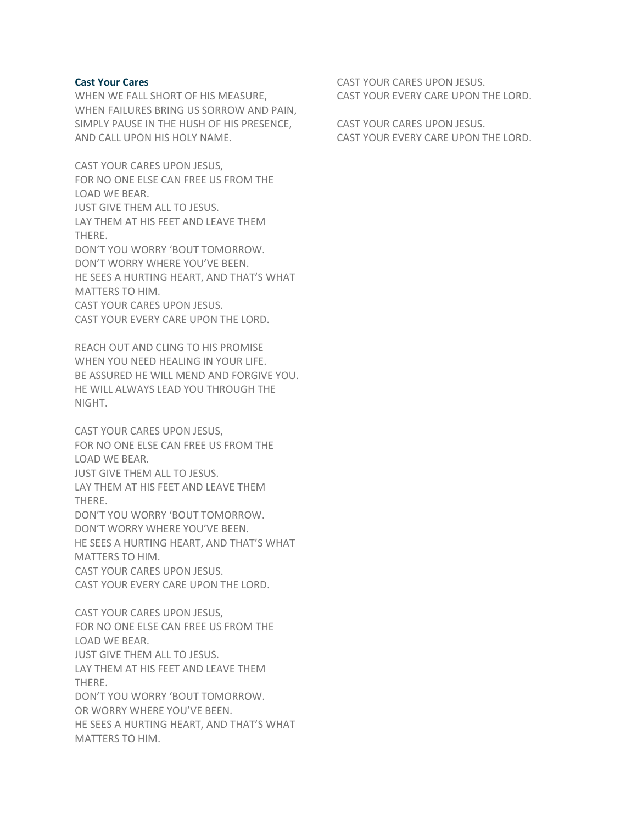#### **Cast Your Cares**

WHEN WE FALL SHORT OF HIS MEASURE, WHEN FAILURES BRING US SORROW AND PAIN, SIMPLY PAUSE IN THE HUSH OF HIS PRESENCE, AND CALL UPON HIS HOLY NAME.

CAST YOUR CARES UPON JESUS, FOR NO ONE ELSE CAN FREE US FROM THE LOAD WE BEAR. JUST GIVE THEM ALL TO JESUS. LAY THEM AT HIS FEET AND LEAVE THEM THERE. DON'T YOU WORRY 'BOUT TOMORROW. DON'T WORRY WHERE YOU'VE BEEN. HE SEES A HURTING HEART, AND THAT'S WHAT MATTERS TO HIM. CAST YOUR CARES UPON JESUS. CAST YOUR EVERY CARE UPON THE LORD.

REACH OUT AND CLING TO HIS PROMISE WHEN YOU NEED HEALING IN YOUR LIFE. BE ASSURED HE WILL MEND AND FORGIVE YOU. HE WILL ALWAYS LEAD YOU THROUGH THE NIGHT.

CAST YOUR CARES UPON JESUS, FOR NO ONE ELSE CAN FREE US FROM THE LOAD WE BEAR. JUST GIVE THEM ALL TO JESUS. LAY THEM AT HIS FEET AND LEAVE THEM THERE. DON'T YOU WORRY 'BOUT TOMORROW. DON'T WORRY WHERE YOU'VE BEEN. HE SEES A HURTING HEART, AND THAT'S WHAT MATTERS TO HIM. CAST YOUR CARES UPON JESUS. CAST YOUR EVERY CARE UPON THE LORD.

CAST YOUR CARES UPON JESUS, FOR NO ONE ELSE CAN FREE US FROM THE LOAD WE BEAR. JUST GIVE THEM ALL TO JESUS. LAY THEM AT HIS FEET AND LEAVE THEM THERE. DON'T YOU WORRY 'BOUT TOMORROW. OR WORRY WHERE YOU'VE BEEN. HE SEES A HURTING HEART, AND THAT'S WHAT MATTERS TO HIM.

CAST YOUR CARES UPON JESUS. CAST YOUR EVERY CARE UPON THE LORD.

CAST YOUR CARES UPON JESUS. CAST YOUR EVERY CARE UPON THE LORD.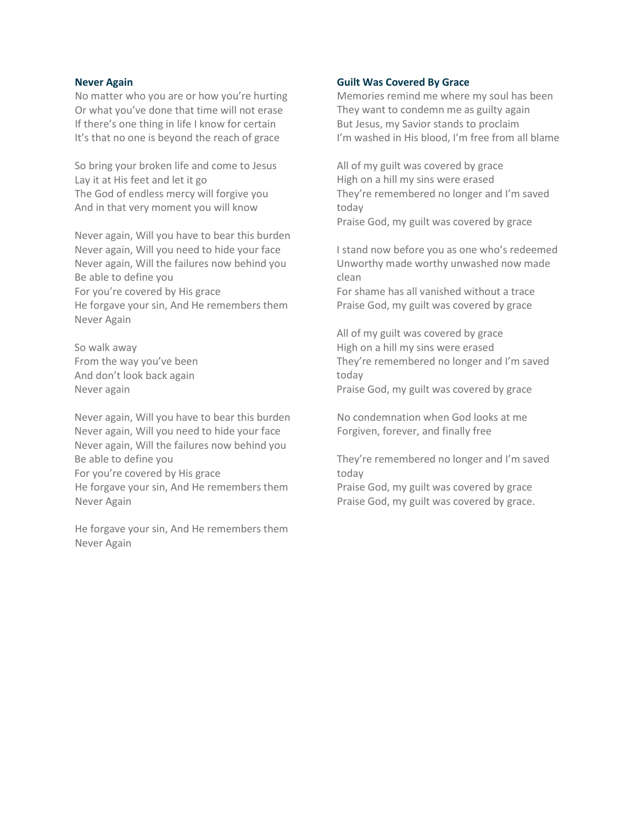## **Never Again**

No matter who you are or how you're hurting Or what you've done that time will not erase If there's one thing in life I know for certain It's that no one is beyond the reach of grace

So bring your broken life and come to Jesus Lay it at His feet and let it go The God of endless mercy will forgive you And in that very moment you will know

Never again, Will you have to bear this burden Never again, Will you need to hide your face Never again, Will the failures now behind you Be able to define you For you're covered by His grace He forgave your sin, And He remembers them Never Again

So walk away From the way you've been And don't look back again Never again

Never again, Will you have to bear this burden Never again, Will you need to hide your face Never again, Will the failures now behind you Be able to define you For you're covered by His grace He forgave your sin, And He remembers them Never Again

He forgave your sin, And He remembers them Never Again

## **Guilt Was Covered By Grace**

Memories remind me where my soul has been They want to condemn me as guilty again But Jesus, my Savior stands to proclaim I'm washed in His blood, I'm free from all blame

All of my guilt was covered by grace High on a hill my sins were erased They're remembered no longer and I'm saved today Praise God, my guilt was covered by grace

I stand now before you as one who's redeemed Unworthy made worthy unwashed now made clean

For shame has all vanished without a trace Praise God, my guilt was covered by grace

All of my guilt was covered by grace High on a hill my sins were erased They're remembered no longer and I'm saved today

Praise God, my guilt was covered by grace

No condemnation when God looks at me Forgiven, forever, and finally free

They're remembered no longer and I'm saved today

Praise God, my guilt was covered by grace Praise God, my guilt was covered by grace.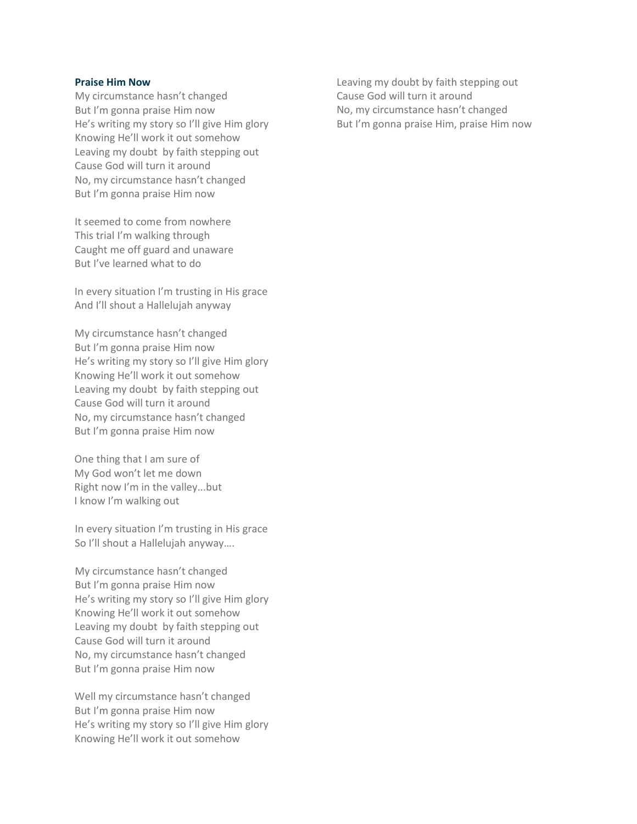#### **Praise Him Now**

My circumstance hasn't changed But I'm gonna praise Him now He's writing my story so I'll give Him glory Knowing He'll work it out somehow Leaving my doubt by faith stepping out Cause God will turn it around No, my circumstance hasn't changed But I'm gonna praise Him now

It seemed to come from nowhere This trial I'm walking through Caught me off guard and unaware But I've learned what to do

In every situation I'm trusting in His grace And I'll shout a Hallelujah anyway

My circumstance hasn't changed But I'm gonna praise Him now He's writing my story so I'll give Him glory Knowing He'll work it out somehow Leaving my doubt by faith stepping out Cause God will turn it around No, my circumstance hasn't changed But I'm gonna praise Him now

One thing that I am sure of My God won't let me down Right now I'm in the valley...but I know I'm walking out

In every situation I'm trusting in His grace So I'll shout a Hallelujah anyway….

My circumstance hasn't changed But I'm gonna praise Him now He's writing my story so I'll give Him glory Knowing He'll work it out somehow Leaving my doubt by faith stepping out Cause God will turn it around No, my circumstance hasn't changed But I'm gonna praise Him now

Well my circumstance hasn't changed But I'm gonna praise Him now He's writing my story so I'll give Him glory Knowing He'll work it out somehow

Leaving my doubt by faith stepping out Cause God will turn it around No, my circumstance hasn't changed But I'm gonna praise Him, praise Him now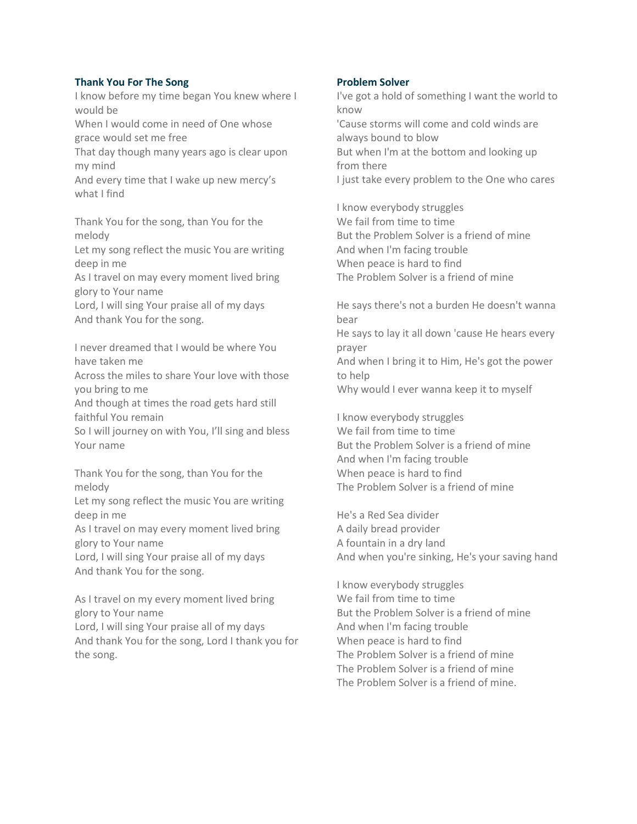# **Thank You For The Song**

I know before my time began You knew where I would be When I would come in need of One whose grace would set me free That day though many years ago is clear upon my mind And every time that I wake up new mercy's what I find Thank You for the song, than You for the melody

Let my song reflect the music You are writing deep in me

As I travel on may every moment lived bring glory to Your name

Lord, I will sing Your praise all of my days And thank You for the song.

I never dreamed that I would be where You have taken me

Across the miles to share Your love with those you bring to me

And though at times the road gets hard still faithful You remain

So I will journey on with You, I'll sing and bless Your name

Thank You for the song, than You for the melody

Let my song reflect the music You are writing deep in me

As I travel on may every moment lived bring glory to Your name

Lord, I will sing Your praise all of my days And thank You for the song.

As I travel on my every moment lived bring glory to Your name

Lord, I will sing Your praise all of my days And thank You for the song, Lord I thank you for the song.

# **Problem Solver**

I've got a hold of something I want the world to know 'Cause storms will come and cold winds are always bound to blow But when I'm at the bottom and looking up from there

I just take every problem to the One who cares

I know everybody struggles We fail from time to time But the Problem Solver is a friend of mine And when I'm facing trouble When peace is hard to find The Problem Solver is a friend of mine

He says there's not a burden He doesn't wanna bear He says to lay it all down 'cause He hears every prayer And when I bring it to Him, He's got the power to help Why would I ever wanna keep it to myself

I know everybody struggles We fail from time to time But the Problem Solver is a friend of mine And when I'm facing trouble When peace is hard to find The Problem Solver is a friend of mine

He's a Red Sea divider A daily bread provider A fountain in a dry land And when you're sinking, He's your saving hand

I know everybody struggles We fail from time to time But the Problem Solver is a friend of mine And when I'm facing trouble When peace is hard to find The Problem Solver is a friend of mine The Problem Solver is a friend of mine The Problem Solver is a friend of mine.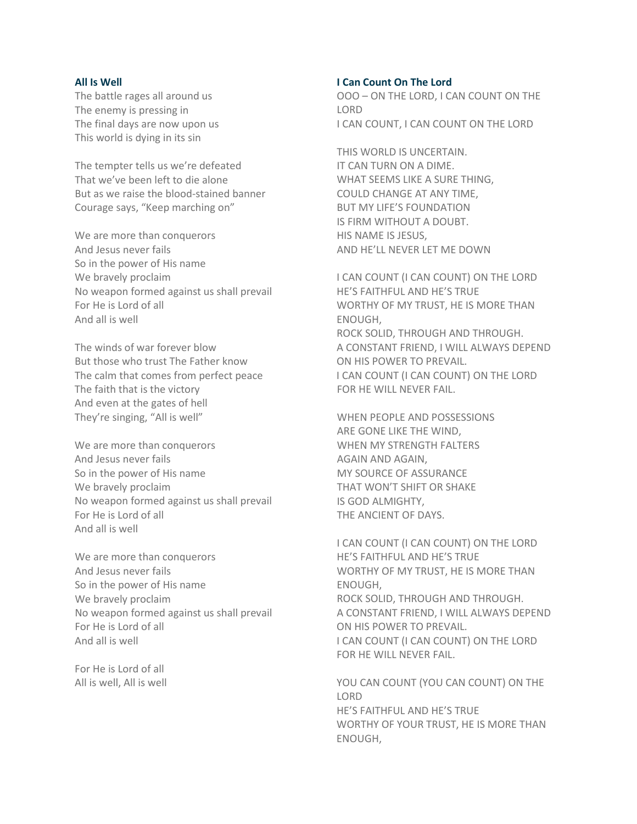#### **All Is Well**

The battle rages all around us The enemy is pressing in The final days are now upon us This world is dying in its sin

The tempter tells us we're defeated That we've been left to die alone But as we raise the blood-stained banner Courage says, "Keep marching on"

We are more than conquerors And Jesus never fails So in the power of His name We bravely proclaim No weapon formed against us shall prevail For He is Lord of all And all is well

The winds of war forever blow But those who trust The Father know The calm that comes from perfect peace The faith that is the victory And even at the gates of hell They're singing, "All is well"

We are more than conquerors And Jesus never fails So in the power of His name We bravely proclaim No weapon formed against us shall prevail For He is Lord of all And all is well

We are more than conquerors And Jesus never fails So in the power of His name We bravely proclaim No weapon formed against us shall prevail For He is Lord of all And all is well

For He is Lord of all All is well, All is well

#### **I Can Count On The Lord**

OOO – ON THE LORD, I CAN COUNT ON THE LORD I CAN COUNT, I CAN COUNT ON THE LORD

THIS WORLD IS UNCERTAIN. IT CAN TURN ON A DIME. WHAT SEEMS LIKE A SURE THING, COULD CHANGE AT ANY TIME, BUT MY LIFE'S FOUNDATION IS FIRM WITHOUT A DOUBT. HIS NAME IS JESUS, AND HE'LL NEVER LET ME DOWN

I CAN COUNT (I CAN COUNT) ON THE LORD HE'S FAITHFUL AND HE'S TRUE WORTHY OF MY TRUST, HE IS MORE THAN ENOUGH, ROCK SOLID, THROUGH AND THROUGH. A CONSTANT FRIEND, I WILL ALWAYS DEPEND ON HIS POWER TO PREVAIL. I CAN COUNT (I CAN COUNT) ON THE LORD FOR HE WILL NEVER FAIL.

WHEN PEOPLE AND POSSESSIONS ARE GONE LIKE THE WIND, WHEN MY STRENGTH FALTERS AGAIN AND AGAIN, MY SOURCE OF ASSURANCE THAT WON'T SHIFT OR SHAKE IS GOD ALMIGHTY, THE ANCIENT OF DAYS.

I CAN COUNT (I CAN COUNT) ON THE LORD HE'S FAITHFUL AND HE'S TRUE WORTHY OF MY TRUST, HE IS MORE THAN ENOUGH, ROCK SOLID, THROUGH AND THROUGH. A CONSTANT FRIEND, I WILL ALWAYS DEPEND ON HIS POWER TO PREVAIL. I CAN COUNT (I CAN COUNT) ON THE LORD FOR HE WILL NEVER FAIL.

YOU CAN COUNT (YOU CAN COUNT) ON THE LORD HE'S FAITHFUL AND HE'S TRUE WORTHY OF YOUR TRUST, HE IS MORE THAN ENOUGH,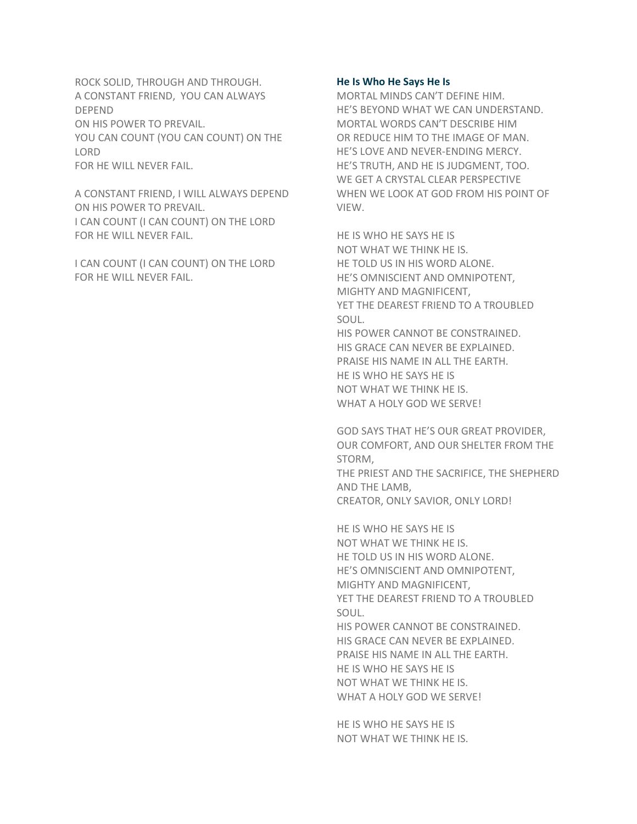ROCK SOLID, THROUGH AND THROUGH. A CONSTANT FRIEND, YOU CAN ALWAYS DEPEND ON HIS POWER TO PREVAIL. YOU CAN COUNT (YOU CAN COUNT) ON THE LORD FOR HE WILL NEVER FAIL.

A CONSTANT FRIEND, I WILL ALWAYS DEPEND ON HIS POWER TO PREVAIL. I CAN COUNT (I CAN COUNT) ON THE LORD FOR HE WILL NEVER FAIL.

I CAN COUNT (I CAN COUNT) ON THE LORD FOR HE WILL NEVER FAIL.

## **He Is Who He Says He Is**

MORTAL MINDS CAN'T DEFINE HIM. HE'S BEYOND WHAT WE CAN UNDERSTAND. MORTAL WORDS CAN'T DESCRIBE HIM OR REDUCE HIM TO THE IMAGE OF MAN. HE'S LOVE AND NEVER-ENDING MERCY. HE'S TRUTH, AND HE IS JUDGMENT, TOO. WE GET A CRYSTAL CLEAR PERSPECTIVE WHEN WE LOOK AT GOD FROM HIS POINT OF VIEW.

HE IS WHO HE SAYS HE IS NOT WHAT WE THINK HE IS. HE TOLD US IN HIS WORD ALONE. HE'S OMNISCIENT AND OMNIPOTENT, MIGHTY AND MAGNIFICENT, YET THE DEAREST FRIEND TO A TROUBLED SOUL.

HIS POWER CANNOT BE CONSTRAINED. HIS GRACE CAN NEVER BE EXPLAINED. PRAISE HIS NAME IN ALL THE EARTH. HE IS WHO HE SAYS HE IS NOT WHAT WE THINK HE IS. WHAT A HOLY GOD WE SERVE!

GOD SAYS THAT HE'S OUR GREAT PROVIDER, OUR COMFORT, AND OUR SHELTER FROM THE STORM, THE PRIEST AND THE SACRIFICE, THE SHEPHERD AND THE LAMB,

CREATOR, ONLY SAVIOR, ONLY LORD!

HE IS WHO HE SAYS HE IS NOT WHAT WE THINK HE IS. HE TOLD US IN HIS WORD ALONE. HE'S OMNISCIENT AND OMNIPOTENT, MIGHTY AND MAGNIFICENT, YET THE DEAREST FRIEND TO A TROUBLED SOUL. HIS POWER CANNOT BE CONSTRAINED. HIS GRACE CAN NEVER BE EXPLAINED. PRAISE HIS NAME IN ALL THE EARTH. HE IS WHO HE SAYS HE IS NOT WHAT WE THINK HE IS. WHAT A HOLY GOD WE SERVE!

HE IS WHO HE SAYS HE IS NOT WHAT WE THINK HE IS.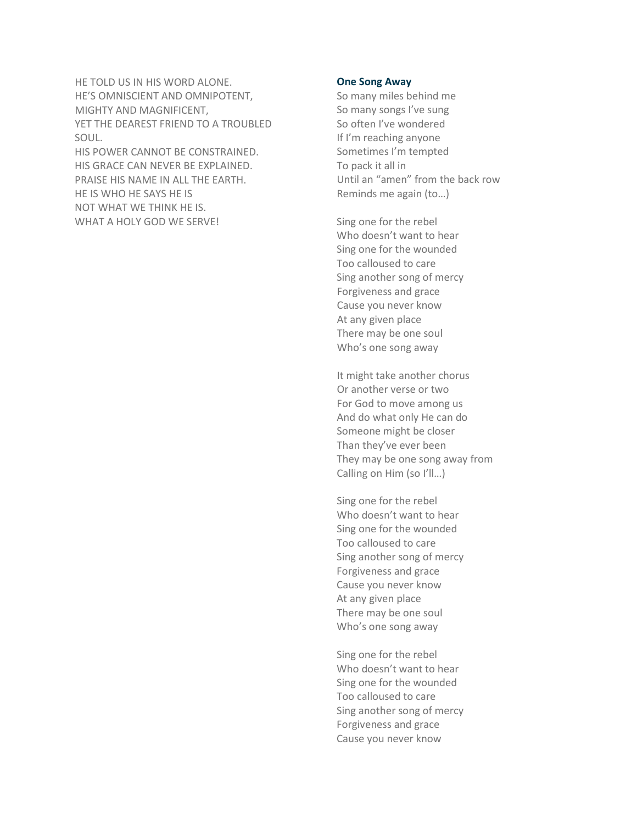HE TOLD US IN HIS WORD ALONE. HE'S OMNISCIENT AND OMNIPOTENT, MIGHTY AND MAGNIFICENT, YET THE DEAREST FRIEND TO A TROUBLED SOUL.

HIS POWER CANNOT BE CONSTRAINED. HIS GRACE CAN NEVER BE EXPLAINED. PRAISE HIS NAME IN ALL THE EARTH. HE IS WHO HE SAYS HE IS NOT WHAT WE THINK HE IS. WHAT A HOLY GOD WE SERVE!

### **One Song Away**

So many miles behind me So many songs I've sung So often I've wondered If I'm reaching anyone Sometimes I'm tempted To pack it all in Until an "amen" from the back row Reminds me again (to…)

Sing one for the rebel Who doesn't want to hear Sing one for the wounded Too calloused to care Sing another song of mercy Forgiveness and grace Cause you never know At any given place There may be one soul Who's one song away

It might take another chorus Or another verse or two For God to move among us And do what only He can do Someone might be closer Than they've ever been They may be one song away from Calling on Him (so I'll…)

Sing one for the rebel Who doesn't want to hear Sing one for the wounded Too calloused to care Sing another song of mercy Forgiveness and grace Cause you never know At any given place There may be one soul Who's one song away

Sing one for the rebel Who doesn't want to hear Sing one for the wounded Too calloused to care Sing another song of mercy Forgiveness and grace Cause you never know